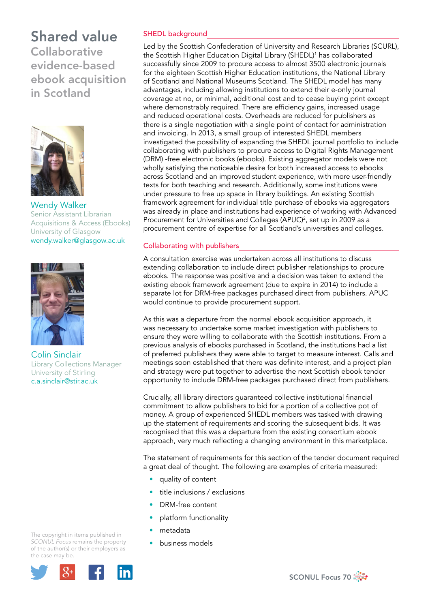**Collaborative** evidence-based ebook acquisition in Scotland



Wendy Walker Senior Assistant Librarian Acquisitions & Access (Ebooks) University of Glasgow wendy.walker@glasgow.ac.uk



Colin Sinclair Library Collections Manager University of Stirling c.a.sinclair@stir.ac.uk

The copyright in items published in *SCONUL Focus* remains the property of the author(s) or their employers as the case may be.



## SHEDL background

Led by the Scottish Confederation of University and Research Libraries (SCURL), the Scottish Higher Education Digital Library (SHEDL)1 has collaborated successfully since 2009 to procure access to almost 3500 electronic journals for the eighteen Scottish Higher Education institutions, the National Library of Scotland and National Museums Scotland. The SHEDL model has many advantages, including allowing institutions to extend their e-only journal coverage at no, or minimal, additional cost and to cease buying print except where demonstrably required. There are efficiency gains, increased usage and reduced operational costs. Overheads are reduced for publishers as there is a single negotiation with a single point of contact for administration and invoicing. In 2013, a small group of interested SHEDL members investigated the possibility of expanding the SHEDL journal portfolio to include collaborating with publishers to procure access to Digital Rights Management (DRM) -free electronic books (ebooks). Existing aggregator models were not wholly satisfying the noticeable desire for both increased access to ebooks across Scotland and an improved student experience, with more user-friendly texts for both teaching and research. Additionally, some institutions were under pressure to free up space in library buildings. An existing Scottish framework agreement for individual title purchase of ebooks via aggregators was already in place and institutions had experience of working with Advanced Procurement for Universities and Colleges (APUC)<sup>2</sup>, set up in 2009 as a procurement centre of expertise for all Scotland's universities and colleges.

### Collaborating with publishers

A consultation exercise was undertaken across all institutions to discuss extending collaboration to include direct publisher relationships to procure ebooks. The response was positive and a decision was taken to extend the existing ebook framework agreement (due to expire in 2014) to include a separate lot for DRM-free packages purchased direct from publishers. APUC would continue to provide procurement support.

As this was a departure from the normal ebook acquisition approach, it was necessary to undertake some market investigation with publishers to ensure they were willing to collaborate with the Scottish institutions. From a previous analysis of ebooks purchased in Scotland, the institutions had a list of preferred publishers they were able to target to measure interest. Calls and meetings soon established that there was definite interest, and a project plan and strategy were put together to advertise the next Scottish ebook tender opportunity to include DRM-free packages purchased direct from publishers.

Crucially, all library directors guaranteed collective institutional financial commitment to allow publishers to bid for a portion of a collective pot of money. A group of experienced SHEDL members was tasked with drawing up the statement of requirements and scoring the subsequent bids. It was recognised that this was a departure from the existing consortium ebook approach, very much reflecting a changing environment in this marketplace.

The statement of requirements for this section of the tender document required a great deal of thought. The following are examples of criteria measured:

- quality of content
- title inclusions / exclusions
- DRM-free content
- platform functionality
- metadata
- business models

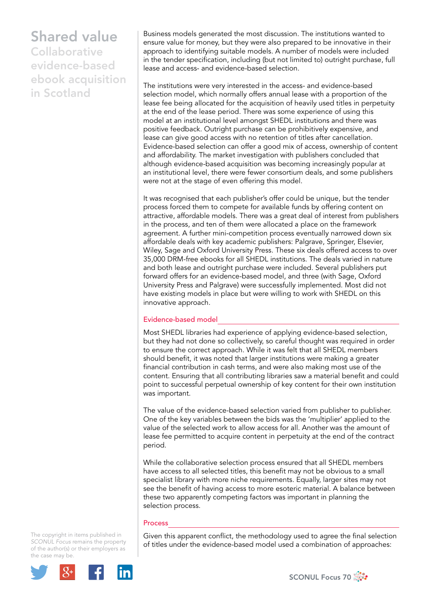**Collaborative** evidence-based ebook acquisition in Scotland

Business models generated the most discussion. The institutions wanted to ensure value for money, but they were also prepared to be innovative in their approach to identifying suitable models. A number of models were included in the tender specification, including (but not limited to) outright purchase, full lease and access- and evidence-based selection.

The institutions were very interested in the access- and evidence-based selection model, which normally offers annual lease with a proportion of the lease fee being allocated for the acquisition of heavily used titles in perpetuity at the end of the lease period. There was some experience of using this model at an institutional level amongst SHEDL institutions and there was positive feedback. Outright purchase can be prohibitively expensive, and lease can give good access with no retention of titles after cancellation. Evidence-based selection can offer a good mix of access, ownership of content and affordability. The market investigation with publishers concluded that although evidence-based acquisition was becoming increasingly popular at an institutional level, there were fewer consortium deals, and some publishers were not at the stage of even offering this model.

It was recognised that each publisher's offer could be unique, but the tender process forced them to compete for available funds by offering content on attractive, affordable models. There was a great deal of interest from publishers in the process, and ten of them were allocated a place on the framework agreement. A further mini-competition process eventually narrowed down six affordable deals with key academic publishers: Palgrave, Springer, Elsevier, Wiley, Sage and Oxford University Press. These six deals offered access to over 35,000 DRM-free ebooks for all SHEDL institutions. The deals varied in nature and both lease and outright purchase were included. Several publishers put forward offers for an evidence-based model, and three (with Sage, Oxford University Press and Palgrave) were successfully implemented. Most did not have existing models in place but were willing to work with SHEDL on this innovative approach.

### Evidence-based model

Most SHEDL libraries had experience of applying evidence-based selection, but they had not done so collectively, so careful thought was required in order to ensure the correct approach. While it was felt that all SHEDL members should benefit, it was noted that larger institutions were making a greater financial contribution in cash terms, and were also making most use of the content. Ensuring that all contributing libraries saw a material benefit and could point to successful perpetual ownership of key content for their own institution was important.

The value of the evidence-based selection varied from publisher to publisher. One of the key variables between the bids was the 'multiplier' applied to the value of the selected work to allow access for all. Another was the amount of lease fee permitted to acquire content in perpetuity at the end of the contract period.

While the collaborative selection process ensured that all SHEDL members have access to all selected titles, this benefit may not be obvious to a small specialist library with more niche requirements. Equally, larger sites may not see the benefit of having access to more esoteric material. A balance between these two apparently competing factors was important in planning the selection process.

#### Process

Given this apparent conflict, the methodology used to agree the final selection of titles under the evidence-based model used a combination of approaches:

The copyright in items published in *SCONUL Focus* remains the property of the author(s) or their employers as the case may be.



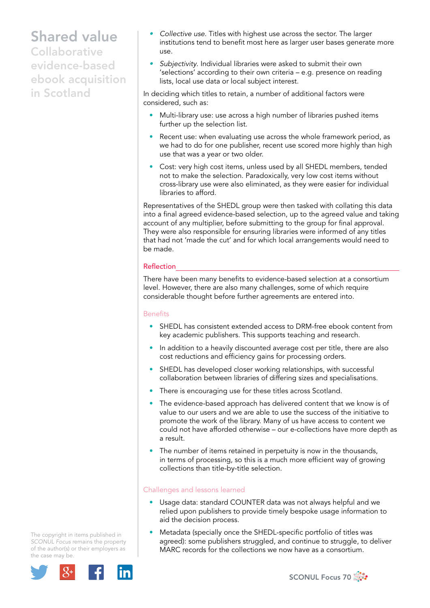**Collaborative** evidence-based ebook acquisition in Scotland

- *• Collective use*. Titles with highest use across the sector. The larger institutions tend to benefit most here as larger user bases generate more use.
- *• Subjectivity*. Individual libraries were asked to submit their own 'selections' according to their own criteria – e.g. presence on reading lists, local use data or local subject interest.

In deciding which titles to retain, a number of additional factors were considered, such as:

- Multi-library use: use across a high number of libraries pushed items further up the selection list.
- Recent use: when evaluating use across the whole framework period, as we had to do for one publisher, recent use scored more highly than high use that was a year or two older.
- Cost: very high cost items, unless used by all SHEDL members, tended not to make the selection. Paradoxically, very low cost items without cross-library use were also eliminated, as they were easier for individual libraries to afford.

Representatives of the SHEDL group were then tasked with collating this data into a final agreed evidence-based selection, up to the agreed value and taking account of any multiplier, before submitting to the group for final approval. They were also responsible for ensuring libraries were informed of any titles that had not 'made the cut' and for which local arrangements would need to be made.

## **Reflection**

There have been many benefits to evidence-based selection at a consortium level. However, there are also many challenges, some of which require considerable thought before further agreements are entered into.

### Benefits

- SHEDL has consistent extended access to DRM-free ebook content from key academic publishers. This supports teaching and research.
- In addition to a heavily discounted average cost per title, there are also cost reductions and efficiency gains for processing orders.
- SHEDL has developed closer working relationships, with successful collaboration between libraries of differing sizes and specialisations.
- There is encouraging use for these titles across Scotland.
- The evidence-based approach has delivered content that we know is of value to our users and we are able to use the success of the initiative to promote the work of the library. Many of us have access to content we could not have afforded otherwise – our e-collections have more depth as a result.
- The number of items retained in perpetuity is now in the thousands, in terms of processing, so this is a much more efficient way of growing collections than title-by-title selection.

## Challenges and lessons learned

- Usage data: standard COUNTER data was not always helpful and we relied upon publishers to provide timely bespoke usage information to aid the decision process.
- Metadata (specially once the SHEDL-specific portfolio of titles was agreed): some publishers struggled, and continue to struggle, to deliver MARC records for the collections we now have as a consortium.

The copyright in items published in *SCONUL Focus* remains the property of the author(s) or their employers as the case may be.